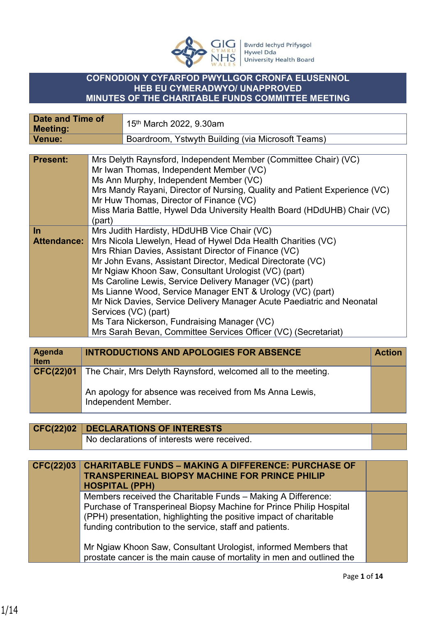

## **COFNODION Y CYFARFOD PWYLLGOR CRONFA ELUSENNOL HEB EU CYMERADWYO/ UNAPPROVED MINUTES OF THE CHARITABLE FUNDS COMMITTEE MEETING**

| <b>Date and Time of</b><br><b>Meeting:</b> |        | 15 <sup>th</sup> March 2022, 9.30am                                                                                                                                                                                                                                                                                                                                                                                                                                                                                                                                                                                                   |
|--------------------------------------------|--------|---------------------------------------------------------------------------------------------------------------------------------------------------------------------------------------------------------------------------------------------------------------------------------------------------------------------------------------------------------------------------------------------------------------------------------------------------------------------------------------------------------------------------------------------------------------------------------------------------------------------------------------|
| <b>Venue:</b>                              |        | Boardroom, Ystwyth Building (via Microsoft Teams)                                                                                                                                                                                                                                                                                                                                                                                                                                                                                                                                                                                     |
|                                            |        |                                                                                                                                                                                                                                                                                                                                                                                                                                                                                                                                                                                                                                       |
| <b>Present:</b>                            | (part) | Mrs Delyth Raynsford, Independent Member (Committee Chair) (VC)<br>Mr Iwan Thomas, Independent Member (VC)<br>Ms Ann Murphy, Independent Member (VC)<br>Mrs Mandy Rayani, Director of Nursing, Quality and Patient Experience (VC)<br>Mr Huw Thomas, Director of Finance (VC)<br>Miss Maria Battle, Hywel Dda University Health Board (HDdUHB) Chair (VC)                                                                                                                                                                                                                                                                             |
| $\ln$<br><b>Attendance:</b>                |        | Mrs Judith Hardisty, HDdUHB Vice Chair (VC)<br>Mrs Nicola Llewelyn, Head of Hywel Dda Health Charities (VC)<br>Mrs Rhian Davies, Assistant Director of Finance (VC)<br>Mr John Evans, Assistant Director, Medical Directorate (VC)<br>Mr Ngiaw Khoon Saw, Consultant Urologist (VC) (part)<br>Ms Caroline Lewis, Service Delivery Manager (VC) (part)<br>Ms Lianne Wood, Service Manager ENT & Urology (VC) (part)<br>Mr Nick Davies, Service Delivery Manager Acute Paediatric and Neonatal<br>Services (VC) (part)<br>Ms Tara Nickerson, Fundraising Manager (VC)<br>Mrs Sarah Bevan, Committee Services Officer (VC) (Secretariat) |

| Agenda<br>Item | <b>INTRODUCTIONS AND APOLOGIES FOR ABSENCE</b>                                                                                                  | <b>Action</b> |
|----------------|-------------------------------------------------------------------------------------------------------------------------------------------------|---------------|
| CFC(22)01      | The Chair, Mrs Delyth Raynsford, welcomed all to the meeting.<br>An apology for absence was received from Ms Anna Lewis,<br>Independent Member. |               |

| CFC(22)02   DECLARATIONS OF INTERESTS       |  |
|---------------------------------------------|--|
| No declarations of interests were received. |  |

| CFC(22)03   CHARITABLE FUNDS - MAKING A DIFFERENCE: PURCHASE OF<br><b>TRANSPERINEAL BIOPSY MACHINE FOR PRINCE PHILIP</b><br><b>HOSPITAL (PPH)</b>  |
|----------------------------------------------------------------------------------------------------------------------------------------------------|
| Members received the Charitable Funds - Making A Difference:<br>$\mathcal{L}$ . The state $\mathcal{L}$ is the state of the state of $\mathcal{L}$ |

Purchase of Transperineal Biopsy Machine for Prince Philip Hospital (PPH) presentation, highlighting the positive impact of charitable funding contribution to the service, staff and patients.

Mr Ngiaw Khoon Saw, Consultant Urologist, informed Members that prostate cancer is the main cause of mortality in men and outlined the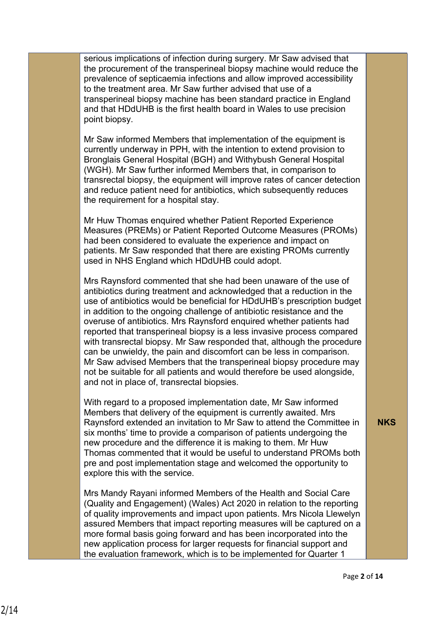serious implications of infection during surgery. Mr Saw advised that the procurement of the transperineal biopsy machine would reduce the prevalence of septicaemia infections and allow improved accessibility to the treatment area. Mr Saw further advised that use of a transperineal biopsy machine has been standard practice in England and that HDdUHB is the first health board in Wales to use precision point biopsy.

Mr Saw informed Members that implementation of the equipment is currently underway in PPH, with the intention to extend provision to Bronglais General Hospital (BGH) and Withybush General Hospital (WGH). Mr Saw further informed Members that, in comparison to transrectal biopsy, the equipment will improve rates of cancer detection and reduce patient need for antibiotics, which subsequently reduces the requirement for a hospital stay.

Mr Huw Thomas enquired whether Patient Reported Experience Measures (PREMs) or Patient Reported Outcome Measures (PROMs) had been considered to evaluate the experience and impact on patients. Mr Saw responded that there are existing PROMs currently used in NHS England which HDdUHB could adopt.

Mrs Raynsford commented that she had been unaware of the use of antibiotics during treatment and acknowledged that a reduction in the use of antibiotics would be beneficial for HDdUHB's prescription budget in addition to the ongoing challenge of antibiotic resistance and the overuse of antibiotics. Mrs Raynsford enquired whether patients had reported that transperineal biopsy is a less invasive process compared with transrectal biopsy. Mr Saw responded that, although the procedure can be unwieldy, the pain and discomfort can be less in comparison. Mr Saw advised Members that the transperineal biopsy procedure may not be suitable for all patients and would therefore be used alongside, and not in place of, transrectal biopsies.

With regard to a proposed implementation date, Mr Saw informed Members that delivery of the equipment is currently awaited. Mrs Raynsford extended an invitation to Mr Saw to attend the Committee in six months' time to provide a comparison of patients undergoing the new procedure and the difference it is making to them. Mr Huw Thomas commented that it would be useful to understand PROMs both pre and post implementation stage and welcomed the opportunity to explore this with the service.

Mrs Mandy Rayani informed Members of the Health and Social Care (Quality and Engagement) (Wales) Act 2020 in relation to the reporting of quality improvements and impact upon patients. Mrs Nicola Llewelyn assured Members that impact reporting measures will be captured on a more formal basis going forward and has been incorporated into the new application process for larger requests for financial support and the evaluation framework, which is to be implemented for Quarter 1

**NKS**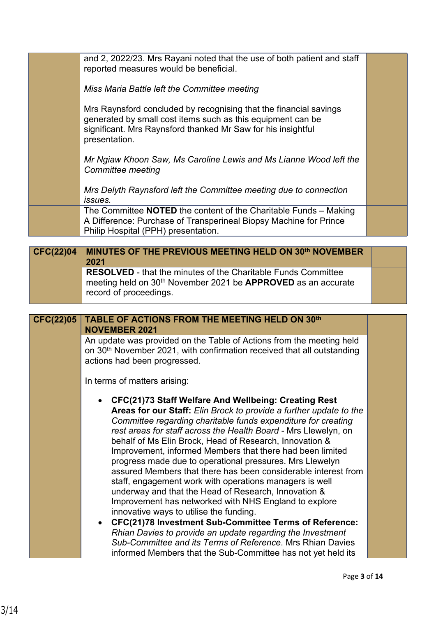and 2, 2022/23. Mrs Rayani noted that the use of both patient and staff reported measures would be beneficial. *Miss Maria Battle left the Committee meeting*  Mrs Raynsford concluded by recognising that the financial savings generated by small cost items such as this equipment can be significant. Mrs Raynsford thanked Mr Saw for his insightful presentation. *Mr Ngiaw Khoon Saw, Ms Caroline Lewis and Ms Lianne Wood left the Committee meeting Mrs Delyth Raynsford left the Committee meeting due to connection issues.* The Committee **NOTED** the content of the Charitable Funds – Making A Difference: Purchase of Transperineal Biopsy Machine for Prince Philip Hospital (PPH) presentation.

## **MINUTES OF THE PREVIOUS MEETING HELD ON 30th NOVEMBER 2021 CFC(22)04 RESOLVED** - that the minutes of the Charitable Funds Committee meeting held on 30th November 2021 be **APPROVED** as an accurate record of proceedings.

**TABLE OF ACTIONS FROM THE MEETING HELD ON 30th**

**NOVEMBER 2021**  An update was provided on the Table of Actions from the meeting held on 30th November 2021, with confirmation received that all outstanding actions had been progressed.

In terms of matters arising:

**CFC(22)05**

- **CFC(21)73 Staff Welfare And Wellbeing: Creating Rest Areas for our Staff:** *Elin Brock to provide a further update to the Committee regarding charitable funds expenditure for creating rest areas for staff across the Health Board -* Mrs Llewelyn, on behalf of Ms Elin Brock, Head of Research, Innovation & Improvement, informed Members that there had been limited progress made due to operational pressures. Mrs Llewelyn assured Members that there has been considerable interest from staff, engagement work with operations managers is well underway and that the Head of Research, Innovation & Improvement has networked with NHS England to explore innovative ways to utilise the funding.
- **CFC(21)78 Investment Sub-Committee Terms of Reference:** *Rhian Davies to provide an update regarding the Investment Sub-Committee and its Terms of Reference*. Mrs Rhian Davies informed Members that the Sub-Committee has not yet held its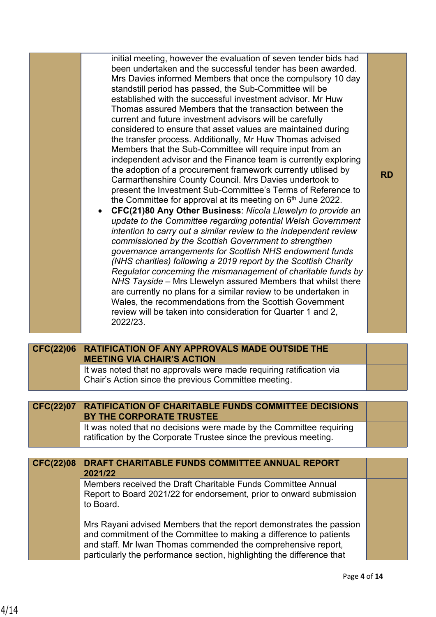| initial meeting, however the evaluation of seven tender bids had<br>been undertaken and the successful tender has been awarded.<br>Mrs Davies informed Members that once the compulsory 10 day<br>standstill period has passed, the Sub-Committee will be<br>established with the successful investment advisor. Mr Huw<br>Thomas assured Members that the transaction between the<br>current and future investment advisors will be carefully<br>considered to ensure that asset values are maintained during<br>the transfer process. Additionally, Mr Huw Thomas advised<br>Members that the Sub-Committee will require input from an<br>independent advisor and the Finance team is currently exploring<br>the adoption of a procurement framework currently utilised by<br>Carmarthenshire County Council. Mrs Davies undertook to<br>present the Investment Sub-Committee's Terms of Reference to<br>the Committee for approval at its meeting on 6 <sup>th</sup> June 2022.<br>CFC(21)80 Any Other Business: Nicola Llewelyn to provide an<br>update to the Committee regarding potential Welsh Government<br>intention to carry out a similar review to the independent review<br>commissioned by the Scottish Government to strengthen<br>governance arrangements for Scottish NHS endowment funds<br>(NHS charities) following a 2019 report by the Scottish Charity<br>Regulator concerning the mismanagement of charitable funds by<br>NHS Tayside - Mrs Llewelyn assured Members that whilst there<br>are currently no plans for a similar review to be undertaken in<br>Wales, the recommendations from the Scottish Government<br>review will be taken into consideration for Quarter 1 and 2,<br>2022/23. | <b>RD</b> |
|---------------------------------------------------------------------------------------------------------------------------------------------------------------------------------------------------------------------------------------------------------------------------------------------------------------------------------------------------------------------------------------------------------------------------------------------------------------------------------------------------------------------------------------------------------------------------------------------------------------------------------------------------------------------------------------------------------------------------------------------------------------------------------------------------------------------------------------------------------------------------------------------------------------------------------------------------------------------------------------------------------------------------------------------------------------------------------------------------------------------------------------------------------------------------------------------------------------------------------------------------------------------------------------------------------------------------------------------------------------------------------------------------------------------------------------------------------------------------------------------------------------------------------------------------------------------------------------------------------------------------------------------------------------------------------------------------------------------------|-----------|

| CFC(22)06        | <b>RATIFICATION OF ANY APPROVALS MADE OUTSIDE THE</b><br><b>MEETING VIA CHAIR'S ACTION</b>                                               |  |
|------------------|------------------------------------------------------------------------------------------------------------------------------------------|--|
|                  | It was noted that no approvals were made requiring ratification via<br>Chair's Action since the previous Committee meeting.              |  |
|                  |                                                                                                                                          |  |
| <b>CFC(22)07</b> | <b>RATIFICATION OF CHARITABLE FUNDS COMMITTEE DECISIONS</b><br>BY THE CORPORATE TRUSTEE                                                  |  |
|                  | It was noted that no decisions were made by the Committee requiring<br>ratification by the Corporate Trustee since the previous meeting. |  |

| <b>CFC(22)08</b> | DRAFT CHARITABLE FUNDS COMMITTEE ANNUAL REPORT<br>2021/22                                                                                                                                                                                                                            |  |
|------------------|--------------------------------------------------------------------------------------------------------------------------------------------------------------------------------------------------------------------------------------------------------------------------------------|--|
|                  | Members received the Draft Charitable Funds Committee Annual<br>Report to Board 2021/22 for endorsement, prior to onward submission<br>to Board.                                                                                                                                     |  |
|                  | Mrs Rayani advised Members that the report demonstrates the passion<br>and commitment of the Committee to making a difference to patients<br>and staff. Mr Iwan Thomas commended the comprehensive report,<br>particularly the performance section, highlighting the difference that |  |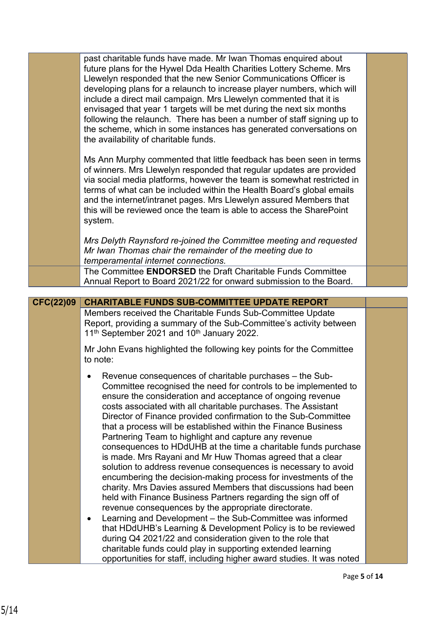|                  | past charitable funds have made. Mr Iwan Thomas enquired about<br>future plans for the Hywel Dda Health Charities Lottery Scheme. Mrs<br>Llewelyn responded that the new Senior Communications Officer is<br>developing plans for a relaunch to increase player numbers, which will<br>include a direct mail campaign. Mrs Llewelyn commented that it is<br>envisaged that year 1 targets will be met during the next six months<br>following the relaunch. There has been a number of staff signing up to<br>the scheme, which in some instances has generated conversations on<br>the availability of charitable funds. |  |
|------------------|---------------------------------------------------------------------------------------------------------------------------------------------------------------------------------------------------------------------------------------------------------------------------------------------------------------------------------------------------------------------------------------------------------------------------------------------------------------------------------------------------------------------------------------------------------------------------------------------------------------------------|--|
|                  | Ms Ann Murphy commented that little feedback has been seen in terms<br>of winners. Mrs Llewelyn responded that regular updates are provided<br>via social media platforms, however the team is somewhat restricted in<br>terms of what can be included within the Health Board's global emails<br>and the internet/intranet pages. Mrs Llewelyn assured Members that<br>this will be reviewed once the team is able to access the SharePoint<br>system.                                                                                                                                                                   |  |
|                  | Mrs Delyth Raynsford re-joined the Committee meeting and requested<br>Mr Iwan Thomas chair the remainder of the meeting due to<br>temperamental internet connections.                                                                                                                                                                                                                                                                                                                                                                                                                                                     |  |
|                  | The Committee ENDORSED the Draft Charitable Funds Committee<br>Annual Report to Board 2021/22 for onward submission to the Board.                                                                                                                                                                                                                                                                                                                                                                                                                                                                                         |  |
|                  |                                                                                                                                                                                                                                                                                                                                                                                                                                                                                                                                                                                                                           |  |
| <b>CFC(22)09</b> | <b>CHARITABLE FUNDS SUB-COMMITTEE UPDATE REPORT</b>                                                                                                                                                                                                                                                                                                                                                                                                                                                                                                                                                                       |  |
|                  | Members received the Charitable Funds Sub-Committee Update                                                                                                                                                                                                                                                                                                                                                                                                                                                                                                                                                                |  |
|                  | Report, providing a summary of the Sub-Committee's activity between<br>11 <sup>th</sup> September 2021 and 10 <sup>th</sup> January 2022.                                                                                                                                                                                                                                                                                                                                                                                                                                                                                 |  |
|                  | Mr John Evans highlighted the following key points for the Committee<br>to note:                                                                                                                                                                                                                                                                                                                                                                                                                                                                                                                                          |  |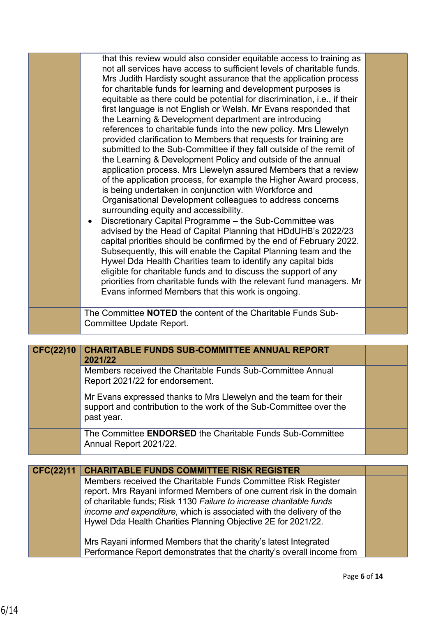|                  | that this review would also consider equitable access to training as                                                                         |  |
|------------------|----------------------------------------------------------------------------------------------------------------------------------------------|--|
|                  | not all services have access to sufficient levels of charitable funds.<br>Mrs Judith Hardisty sought assurance that the application process  |  |
|                  | for charitable funds for learning and development purposes is                                                                                |  |
|                  | equitable as there could be potential for discrimination, i.e., if their                                                                     |  |
|                  | first language is not English or Welsh. Mr Evans responded that                                                                              |  |
|                  | the Learning & Development department are introducing                                                                                        |  |
|                  | references to charitable funds into the new policy. Mrs Llewelyn                                                                             |  |
|                  | provided clarification to Members that requests for training are<br>submitted to the Sub-Committee if they fall outside of the remit of      |  |
|                  | the Learning & Development Policy and outside of the annual                                                                                  |  |
|                  | application process. Mrs Llewelyn assured Members that a review                                                                              |  |
|                  | of the application process, for example the Higher Award process,                                                                            |  |
|                  | is being undertaken in conjunction with Workforce and                                                                                        |  |
|                  | Organisational Development colleagues to address concerns<br>surrounding equity and accessibility.                                           |  |
|                  | Discretionary Capital Programme - the Sub-Committee was<br>$\bullet$                                                                         |  |
|                  | advised by the Head of Capital Planning that HDdUHB's 2022/23                                                                                |  |
|                  | capital priorities should be confirmed by the end of February 2022.                                                                          |  |
|                  | Subsequently, this will enable the Capital Planning team and the                                                                             |  |
|                  | Hywel Dda Health Charities team to identify any capital bids                                                                                 |  |
|                  | eligible for charitable funds and to discuss the support of any<br>priorities from charitable funds with the relevant fund managers. Mr      |  |
|                  | Evans informed Members that this work is ongoing.                                                                                            |  |
|                  |                                                                                                                                              |  |
|                  | The Committee NOTED the content of the Charitable Funds Sub-<br>Committee Update Report.                                                     |  |
|                  |                                                                                                                                              |  |
| <b>CFC(22)10</b> | <b>CHARITABLE FUNDS SUB-COMMITTEE ANNUAL REPORT</b>                                                                                          |  |
|                  | 2021/22                                                                                                                                      |  |
|                  | Members received the Charitable Funds Sub-Committee Annual                                                                                   |  |
|                  |                                                                                                                                              |  |
|                  | Report 2021/22 for endorsement.                                                                                                              |  |
|                  | Mr Evans expressed thanks to Mrs Llewelyn and the team for their                                                                             |  |
|                  | support and contribution to the work of the Sub-Committee over the                                                                           |  |
|                  | past year.                                                                                                                                   |  |
|                  | The Committee ENDORSED the Charitable Funds Sub-Committee                                                                                    |  |
|                  | Annual Report 2021/22.                                                                                                                       |  |
|                  |                                                                                                                                              |  |
| <b>CFC(22)11</b> | <b>CHARITABLE FUNDS COMMITTEE RISK REGISTER</b>                                                                                              |  |
|                  | Members received the Charitable Funds Committee Risk Register                                                                                |  |
|                  | report. Mrs Rayani informed Members of one current risk in the domain<br>of charitable funds; Risk 1130 Failure to increase charitable funds |  |
|                  | income and expenditure, which is associated with the delivery of the                                                                         |  |
|                  | Hywel Dda Health Charities Planning Objective 2E for 2021/22.                                                                                |  |
|                  |                                                                                                                                              |  |
|                  | Mrs Rayani informed Members that the charity's latest Integrated<br>Performance Report demonstrates that the charity's overall income from   |  |

T.

۰

m.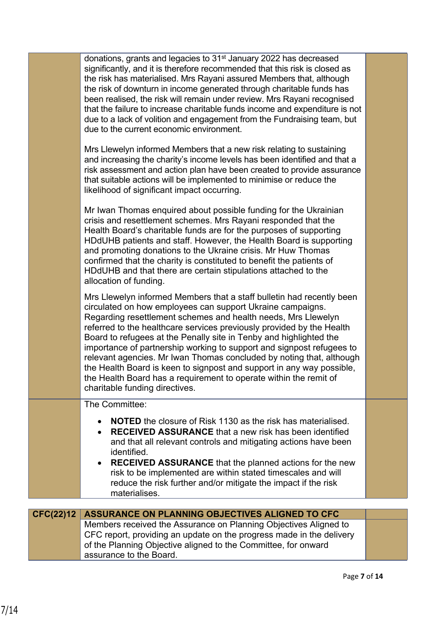|                  | donations, grants and legacies to 31 <sup>st</sup> January 2022 has decreased<br>significantly, and it is therefore recommended that this risk is closed as<br>the risk has materialised. Mrs Rayani assured Members that, although<br>the risk of downturn in income generated through charitable funds has<br>been realised, the risk will remain under review. Mrs Rayani recognised<br>that the failure to increase charitable funds income and expenditure is not<br>due to a lack of volition and engagement from the Fundraising team, but<br>due to the current economic environment.                                                                                        |  |
|------------------|--------------------------------------------------------------------------------------------------------------------------------------------------------------------------------------------------------------------------------------------------------------------------------------------------------------------------------------------------------------------------------------------------------------------------------------------------------------------------------------------------------------------------------------------------------------------------------------------------------------------------------------------------------------------------------------|--|
|                  | Mrs Llewelyn informed Members that a new risk relating to sustaining<br>and increasing the charity's income levels has been identified and that a<br>risk assessment and action plan have been created to provide assurance<br>that suitable actions will be implemented to minimise or reduce the<br>likelihood of significant impact occurring.                                                                                                                                                                                                                                                                                                                                    |  |
|                  | Mr Iwan Thomas enquired about possible funding for the Ukrainian<br>crisis and resettlement schemes. Mrs Rayani responded that the<br>Health Board's charitable funds are for the purposes of supporting<br>HDdUHB patients and staff. However, the Health Board is supporting<br>and promoting donations to the Ukraine crisis. Mr Huw Thomas<br>confirmed that the charity is constituted to benefit the patients of<br>HDdUHB and that there are certain stipulations attached to the<br>allocation of funding.                                                                                                                                                                   |  |
|                  | Mrs Llewelyn informed Members that a staff bulletin had recently been<br>circulated on how employees can support Ukraine campaigns.<br>Regarding resettlement schemes and health needs, Mrs Llewelyn<br>referred to the healthcare services previously provided by the Health<br>Board to refugees at the Penally site in Tenby and highlighted the<br>importance of partnership working to support and signpost refugees to<br>relevant agencies. Mr Iwan Thomas concluded by noting that, although<br>the Health Board is keen to signpost and support in any way possible,<br>the Health Board has a requirement to operate within the remit of<br>charitable funding directives. |  |
|                  | The Committee:<br><b>NOTED</b> the closure of Risk 1130 as the risk has materialised.<br>$\bullet$<br><b>RECEIVED ASSURANCE</b> that a new risk has been identified<br>$\bullet$<br>and that all relevant controls and mitigating actions have been<br>identified.<br><b>RECEIVED ASSURANCE</b> that the planned actions for the new<br>$\bullet$<br>risk to be implemented are within stated timescales and will<br>reduce the risk further and/or mitigate the impact if the risk<br>materialises.                                                                                                                                                                                 |  |
|                  |                                                                                                                                                                                                                                                                                                                                                                                                                                                                                                                                                                                                                                                                                      |  |
| <b>CFC(22)12</b> | ASSURANCE ON PLANNING OBJECTIVES ALIGNED TO CFC<br>Members received the Assurance on Planning Objectives Aligned to<br>CFC report, providing an update on the progress made in the delivery<br>of the Planning Objective aligned to the Committee, for onward<br>assurance to the Board.                                                                                                                                                                                                                                                                                                                                                                                             |  |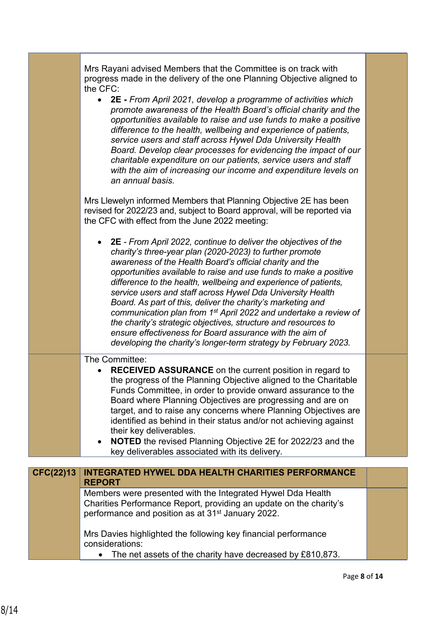|                  | Mrs Rayani advised Members that the Committee is on track with<br>progress made in the delivery of the one Planning Objective aligned to<br>the CFC:<br>• 2E - From April 2021, develop a programme of activities which<br>promote awareness of the Health Board's official charity and the<br>opportunities available to raise and use funds to make a positive<br>difference to the health, wellbeing and experience of patients,<br>service users and staff across Hywel Dda University Health<br>Board. Develop clear processes for evidencing the impact of our<br>charitable expenditure on our patients, service users and staff<br>with the aim of increasing our income and expenditure levels on<br>an annual basis.<br>Mrs Llewelyn informed Members that Planning Objective 2E has been<br>revised for 2022/23 and, subject to Board approval, will be reported via<br>the CFC with effect from the June 2022 meeting: |  |
|------------------|------------------------------------------------------------------------------------------------------------------------------------------------------------------------------------------------------------------------------------------------------------------------------------------------------------------------------------------------------------------------------------------------------------------------------------------------------------------------------------------------------------------------------------------------------------------------------------------------------------------------------------------------------------------------------------------------------------------------------------------------------------------------------------------------------------------------------------------------------------------------------------------------------------------------------------|--|
|                  | 2E - From April 2022, continue to deliver the objectives of the<br>charity's three-year plan (2020-2023) to further promote<br>awareness of the Health Board's official charity and the<br>opportunities available to raise and use funds to make a positive<br>difference to the health, wellbeing and experience of patients,<br>service users and staff across Hywel Dda University Health<br>Board. As part of this, deliver the charity's marketing and<br>communication plan from 1 <sup>st</sup> April 2022 and undertake a review of<br>the charity's strategic objectives, structure and resources to<br>ensure effectiveness for Board assurance with the aim of<br>developing the charity's longer-term strategy by February 2023.                                                                                                                                                                                      |  |
|                  | The Committee:<br><b>RECEIVED ASSURANCE</b> on the current position in regard to<br>the progress of the Planning Objective aligned to the Charitable<br>Funds Committee, in order to provide onward assurance to the<br>Board where Planning Objectives are progressing and are on<br>target, and to raise any concerns where Planning Objectives are<br>identified as behind in their status and/or not achieving against<br>their key deliverables.<br><b>NOTED</b> the revised Planning Objective 2E for 2022/23 and the<br>$\bullet$<br>key deliverables associated with its delivery.                                                                                                                                                                                                                                                                                                                                         |  |
| <b>CFC(22)13</b> | <b>INTEGRATED HYWEL DDA HEALTH CHARITIES PERFORMANCE</b>                                                                                                                                                                                                                                                                                                                                                                                                                                                                                                                                                                                                                                                                                                                                                                                                                                                                           |  |
|                  | <b>REPORT</b><br>Members were presented with the Integrated Hywel Dda Health<br>Charities Performance Report, providing an update on the charity's<br>performance and position as at 31 <sup>st</sup> January 2022.<br>Mrs Davies highlighted the following key financial performance<br>considerations:                                                                                                                                                                                                                                                                                                                                                                                                                                                                                                                                                                                                                           |  |
|                  | The net assets of the charity have decreased by £810,873.                                                                                                                                                                                                                                                                                                                                                                                                                                                                                                                                                                                                                                                                                                                                                                                                                                                                          |  |

т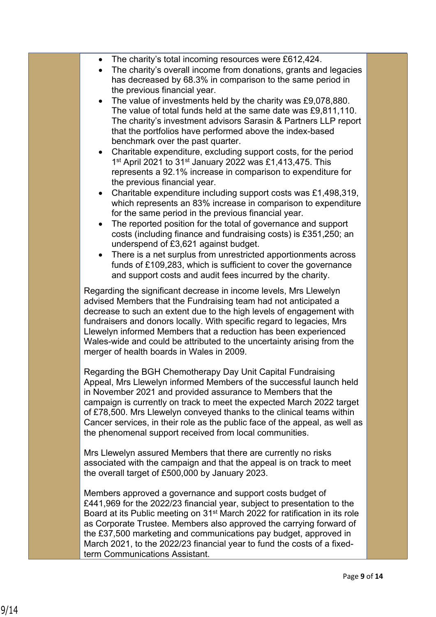- The charity's total incoming resources were £612,424.
- The charity's overall income from donations, grants and legacies has decreased by 68.3% in comparison to the same period in the previous financial year.
- The value of investments held by the charity was £9,078,880. The value of total funds held at the same date was £9,811,110. The charity's investment advisors Sarasin & Partners LLP report that the portfolios have performed above the index-based benchmark over the past quarter.
- Charitable expenditure, excluding support costs, for the period 1<sup>st</sup> April 2021 to 31<sup>st</sup> January 2022 was £1,413,475. This represents a 92.1% increase in comparison to expenditure for the previous financial year.
- Charitable expenditure including support costs was £1,498,319, which represents an 83% increase in comparison to expenditure for the same period in the previous financial year.
- The reported position for the total of governance and support costs (including finance and fundraising costs) is £351,250; an underspend of £3,621 against budget.
- There is a net surplus from unrestricted apportionments across funds of £109,283, which is sufficient to cover the governance and support costs and audit fees incurred by the charity.

Regarding the significant decrease in income levels, Mrs Llewelyn advised Members that the Fundraising team had not anticipated a decrease to such an extent due to the high levels of engagement with fundraisers and donors locally. With specific regard to legacies, Mrs Llewelyn informed Members that a reduction has been experienced Wales-wide and could be attributed to the uncertainty arising from the merger of health boards in Wales in 2009.

Regarding the BGH Chemotherapy Day Unit Capital Fundraising Appeal, Mrs Llewelyn informed Members of the successful launch held in November 2021 and provided assurance to Members that the campaign is currently on track to meet the expected March 2022 target of £78,500. Mrs Llewelyn conveyed thanks to the clinical teams within Cancer services, in their role as the public face of the appeal, as well as the phenomenal support received from local communities.

Mrs Llewelyn assured Members that there are currently no risks associated with the campaign and that the appeal is on track to meet the overall target of £500,000 by January 2023.

Members approved a governance and support costs budget of £441,969 for the 2022/23 financial year, subject to presentation to the Board at its Public meeting on 31st March 2022 for ratification in its role as Corporate Trustee. Members also approved the carrying forward of the £37,500 marketing and communications pay budget, approved in March 2021, to the 2022/23 financial year to fund the costs of a fixedterm Communications Assistant.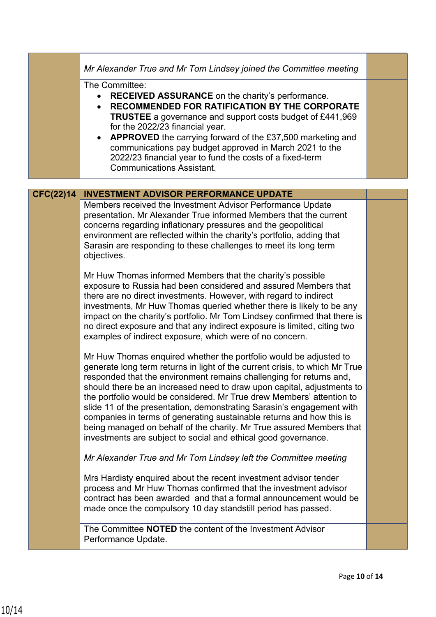|                  | Mr Alexander True and Mr Tom Lindsey joined the Committee meeting                                                                                                                                                                                                                                                                                                                                                                                                                                                                                                                                                                                                     |  |
|------------------|-----------------------------------------------------------------------------------------------------------------------------------------------------------------------------------------------------------------------------------------------------------------------------------------------------------------------------------------------------------------------------------------------------------------------------------------------------------------------------------------------------------------------------------------------------------------------------------------------------------------------------------------------------------------------|--|
|                  | The Committee:<br><b>RECEIVED ASSURANCE</b> on the charity's performance.<br>RECOMMENDED FOR RATIFICATION BY THE CORPORATE<br>$\bullet$<br><b>TRUSTEE</b> a governance and support costs budget of £441,969<br>for the 2022/23 financial year.<br>APPROVED the carrying forward of the £37,500 marketing and<br>communications pay budget approved in March 2021 to the<br>2022/23 financial year to fund the costs of a fixed-term<br><b>Communications Assistant.</b>                                                                                                                                                                                               |  |
|                  |                                                                                                                                                                                                                                                                                                                                                                                                                                                                                                                                                                                                                                                                       |  |
| <b>CFC(22)14</b> | <b>INVESTMENT ADVISOR PERFORMANCE UPDATE</b><br>Members received the Investment Advisor Performance Update<br>presentation. Mr Alexander True informed Members that the current<br>concerns regarding inflationary pressures and the geopolitical<br>environment are reflected within the charity's portfolio, adding that<br>Sarasin are responding to these challenges to meet its long term<br>objectives.                                                                                                                                                                                                                                                         |  |
|                  | Mr Huw Thomas informed Members that the charity's possible<br>exposure to Russia had been considered and assured Members that<br>there are no direct investments. However, with regard to indirect<br>investments, Mr Huw Thomas queried whether there is likely to be any<br>impact on the charity's portfolio. Mr Tom Lindsey confirmed that there is<br>no direct exposure and that any indirect exposure is limited, citing two<br>examples of indirect exposure, which were of no concern.                                                                                                                                                                       |  |
|                  | Mr Huw Thomas enquired whether the portfolio would be adjusted to<br>generate long term returns in light of the current crisis, to which Mr True<br>responded that the environment remains challenging for returns and,<br>should there be an increased need to draw upon capital, adjustments to<br>the portfolio would be considered. Mr True drew Members' attention to<br>slide 11 of the presentation, demonstrating Sarasin's engagement with<br>companies in terms of generating sustainable returns and how this is<br>being managed on behalf of the charity. Mr True assured Members that<br>investments are subject to social and ethical good governance. |  |
|                  | Mr Alexander True and Mr Tom Lindsey left the Committee meeting                                                                                                                                                                                                                                                                                                                                                                                                                                                                                                                                                                                                       |  |
|                  | Mrs Hardisty enquired about the recent investment advisor tender<br>process and Mr Huw Thomas confirmed that the investment advisor<br>contract has been awarded and that a formal announcement would be<br>made once the compulsory 10 day standstill period has passed.                                                                                                                                                                                                                                                                                                                                                                                             |  |
|                  | The Committee <b>NOTED</b> the content of the Investment Advisor<br>Performance Update.                                                                                                                                                                                                                                                                                                                                                                                                                                                                                                                                                                               |  |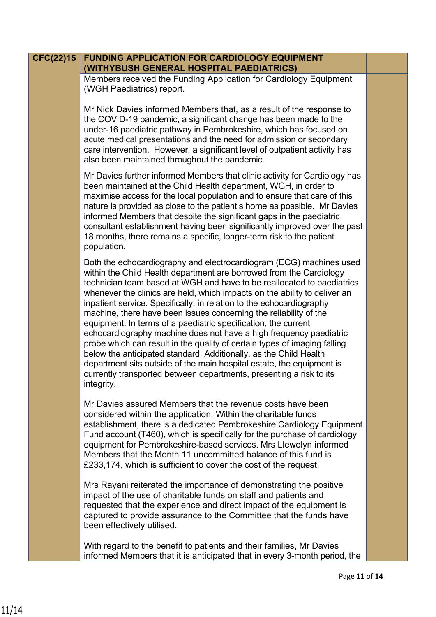## **FUNDING APPLICATION FOR CARDIOLOGY EQUIPMENT (WITHYBUSH GENERAL HOSPITAL PAEDIATRICS) CFC(22)15**

Members received the Funding Application for Cardiology Equipment (WGH Paediatrics) report.

Mr Nick Davies informed Members that, as a result of the response to the COVID-19 pandemic, a significant change has been made to the under-16 paediatric pathway in Pembrokeshire, which has focused on acute medical presentations and the need for admission or secondary care intervention. However, a significant level of outpatient activity has also been maintained throughout the pandemic.

Mr Davies further informed Members that clinic activity for Cardiology has been maintained at the Child Health department, WGH, in order to maximise access for the local population and to ensure that care of this nature is provided as close to the patient's home as possible. Mr Davies informed Members that despite the significant gaps in the paediatric consultant establishment having been significantly improved over the past 18 months, there remains a specific, longer-term risk to the patient population.

Both the echocardiography and electrocardiogram (ECG) machines used within the Child Health department are borrowed from the Cardiology technician team based at WGH and have to be reallocated to paediatrics whenever the clinics are held, which impacts on the ability to deliver an inpatient service. Specifically, in relation to the echocardiography machine, there have been issues concerning the reliability of the equipment. In terms of a paediatric specification, the current echocardiography machine does not have a high frequency paediatric probe which can result in the quality of certain types of imaging falling below the anticipated standard. Additionally, as the Child Health department sits outside of the main hospital estate, the equipment is currently transported between departments, presenting a risk to its integrity.

Mr Davies assured Members that the revenue costs have been considered within the application. Within the charitable funds establishment, there is a dedicated Pembrokeshire Cardiology Equipment Fund account (T460), which is specifically for the purchase of cardiology equipment for Pembrokeshire-based services. Mrs Llewelyn informed Members that the Month 11 uncommitted balance of this fund is £233,174, which is sufficient to cover the cost of the request.

Mrs Rayani reiterated the importance of demonstrating the positive impact of the use of charitable funds on staff and patients and requested that the experience and direct impact of the equipment is captured to provide assurance to the Committee that the funds have been effectively utilised.

With regard to the benefit to patients and their families, Mr Davies informed Members that it is anticipated that in every 3-month period, the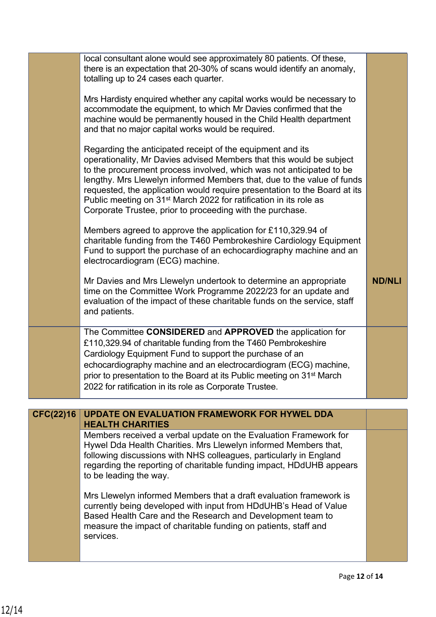|                  | local consultant alone would see approximately 80 patients. Of these,<br>there is an expectation that 20-30% of scans would identify an anomaly,<br>totalling up to 24 cases each quarter.                                                                                                                                                                                                                                                                                                                      |               |
|------------------|-----------------------------------------------------------------------------------------------------------------------------------------------------------------------------------------------------------------------------------------------------------------------------------------------------------------------------------------------------------------------------------------------------------------------------------------------------------------------------------------------------------------|---------------|
|                  | Mrs Hardisty enquired whether any capital works would be necessary to<br>accommodate the equipment, to which Mr Davies confirmed that the<br>machine would be permanently housed in the Child Health department<br>and that no major capital works would be required.                                                                                                                                                                                                                                           |               |
|                  | Regarding the anticipated receipt of the equipment and its<br>operationality, Mr Davies advised Members that this would be subject<br>to the procurement process involved, which was not anticipated to be<br>lengthy. Mrs Llewelyn informed Members that, due to the value of funds<br>requested, the application would require presentation to the Board at its<br>Public meeting on 31 <sup>st</sup> March 2022 for ratification in its role as<br>Corporate Trustee, prior to proceeding with the purchase. |               |
|                  | Members agreed to approve the application for £110,329.94 of<br>charitable funding from the T460 Pembrokeshire Cardiology Equipment<br>Fund to support the purchase of an echocardiography machine and an<br>electrocardiogram (ECG) machine.                                                                                                                                                                                                                                                                   |               |
|                  | Mr Davies and Mrs Llewelyn undertook to determine an appropriate<br>time on the Committee Work Programme 2022/23 for an update and<br>evaluation of the impact of these charitable funds on the service, staff<br>and patients.                                                                                                                                                                                                                                                                                 | <b>ND/NLI</b> |
|                  | The Committee CONSIDERED and APPROVED the application for<br>£110,329.94 of charitable funding from the T460 Pembrokeshire<br>Cardiology Equipment Fund to support the purchase of an<br>echocardiography machine and an electrocardiogram (ECG) machine,<br>prior to presentation to the Board at its Public meeting on 31 <sup>st</sup> March<br>2022 for ratification in its role as Corporate Trustee.                                                                                                      |               |
| <b>CFC(22)16</b> | <b>UPDATE ON EVALUATION FRAMEWORK FOR HYWEL DDA</b>                                                                                                                                                                                                                                                                                                                                                                                                                                                             |               |
|                  | <b>HEALTH CHARITIES</b>                                                                                                                                                                                                                                                                                                                                                                                                                                                                                         |               |
|                  | Members received a verbal update on the Evaluation Framework for<br>Hywel Dda Health Charities. Mrs Llewelyn informed Members that,<br>following discussions with NHS colleagues, particularly in England<br>regarding the reporting of charitable funding impact, HDdUHB appears<br>to be leading the way.                                                                                                                                                                                                     |               |
|                  | Mrs Llewelyn informed Members that a draft evaluation framework is<br>currently being developed with input from HDdUHB's Head of Value<br>Based Health Care and the Research and Development team to<br>measure the impact of charitable funding on patients, staff and<br>services.                                                                                                                                                                                                                            |               |
|                  |                                                                                                                                                                                                                                                                                                                                                                                                                                                                                                                 |               |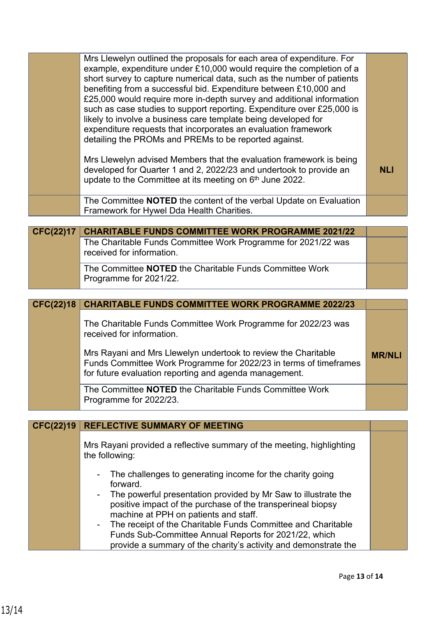| Mrs Llewelyn outlined the proposals for each area of expenditure. For<br>example, expenditure under £10,000 would require the completion of a<br>short survey to capture numerical data, such as the number of patients<br>benefiting from a successful bid. Expenditure between £10,000 and<br>£25,000 would require more in-depth survey and additional information<br>such as case studies to support reporting. Expenditure over £25,000 is<br>likely to involve a business care template being developed for<br>expenditure requests that incorporates an evaluation framework<br>detailing the PROMs and PREMs to be reported against. |                                                                                                                                                                                                                                       |
|----------------------------------------------------------------------------------------------------------------------------------------------------------------------------------------------------------------------------------------------------------------------------------------------------------------------------------------------------------------------------------------------------------------------------------------------------------------------------------------------------------------------------------------------------------------------------------------------------------------------------------------------|---------------------------------------------------------------------------------------------------------------------------------------------------------------------------------------------------------------------------------------|
| Mrs Llewelyn advised Members that the evaluation framework is being<br>developed for Quarter 1 and 2, 2022/23 and undertook to provide an<br>update to the Committee at its meeting on 6 <sup>th</sup> June 2022.                                                                                                                                                                                                                                                                                                                                                                                                                            | <b>NLI</b>                                                                                                                                                                                                                            |
| Framework for Hywel Dda Health Charities.                                                                                                                                                                                                                                                                                                                                                                                                                                                                                                                                                                                                    |                                                                                                                                                                                                                                       |
|                                                                                                                                                                                                                                                                                                                                                                                                                                                                                                                                                                                                                                              |                                                                                                                                                                                                                                       |
| The Charitable Funds Committee Work Programme for 2021/22 was<br>received for information.                                                                                                                                                                                                                                                                                                                                                                                                                                                                                                                                                   |                                                                                                                                                                                                                                       |
| The Committee NOTED the Charitable Funds Committee Work<br>Programme for 2021/22.                                                                                                                                                                                                                                                                                                                                                                                                                                                                                                                                                            |                                                                                                                                                                                                                                       |
|                                                                                                                                                                                                                                                                                                                                                                                                                                                                                                                                                                                                                                              |                                                                                                                                                                                                                                       |
| <b>CHARITABLE FUNDS COMMITTEE WORK PROGRAMME 2022/23</b><br><b>CFC(22)18</b>                                                                                                                                                                                                                                                                                                                                                                                                                                                                                                                                                                 |                                                                                                                                                                                                                                       |
| The Charitable Funds Committee Work Programme for 2022/23 was<br>received for information.                                                                                                                                                                                                                                                                                                                                                                                                                                                                                                                                                   |                                                                                                                                                                                                                                       |
| Mrs Rayani and Mrs Llewelyn undertook to review the Charitable<br>Funds Committee Work Programme for 2022/23 in terms of timeframes<br>for future evaluation reporting and agenda management.                                                                                                                                                                                                                                                                                                                                                                                                                                                | <b>MR/NLI</b>                                                                                                                                                                                                                         |
| The Committee <b>NOTED</b> the Charitable Funds Committee Work<br>Programme for 2022/23.                                                                                                                                                                                                                                                                                                                                                                                                                                                                                                                                                     |                                                                                                                                                                                                                                       |
|                                                                                                                                                                                                                                                                                                                                                                                                                                                                                                                                                                                                                                              |                                                                                                                                                                                                                                       |
|                                                                                                                                                                                                                                                                                                                                                                                                                                                                                                                                                                                                                                              |                                                                                                                                                                                                                                       |
| Mrs Rayani provided a reflective summary of the meeting, highlighting<br>the following:                                                                                                                                                                                                                                                                                                                                                                                                                                                                                                                                                      |                                                                                                                                                                                                                                       |
| The challenges to generating income for the charity going<br>forward.<br>The powerful presentation provided by Mr Saw to illustrate the                                                                                                                                                                                                                                                                                                                                                                                                                                                                                                      |                                                                                                                                                                                                                                       |
|                                                                                                                                                                                                                                                                                                                                                                                                                                                                                                                                                                                                                                              | The Committee NOTED the content of the verbal Update on Evaluation<br><b>CHARITABLE FUNDS COMMITTEE WORK PROGRAMME 2021/22</b><br><b>REFLECTIVE SUMMARY OF MEETING</b><br>positive impact of the purchase of the transperineal biopsy |